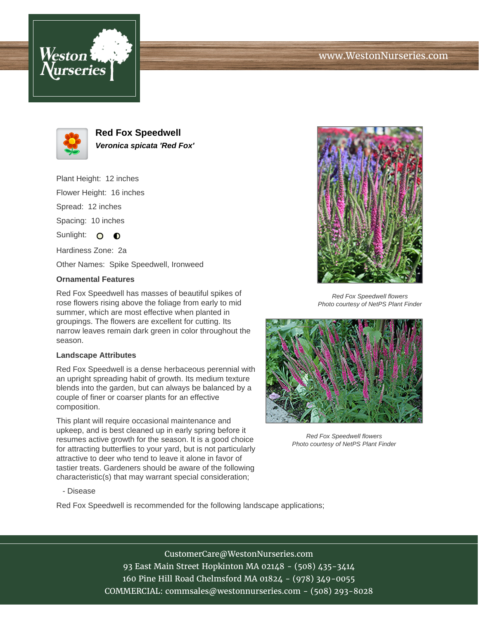## www.WestonNurseries.com





**Red Fox Speedwell Veronica spicata 'Red Fox'**

Plant Height: 12 inches Flower Height: 16 inches Spread: 12 inches Spacing: 10 inches Sunlight: O  $\bullet$ Hardiness Zone: 2a

Other Names: Spike Speedwell, Ironweed

## **Ornamental Features**

Red Fox Speedwell has masses of beautiful spikes of rose flowers rising above the foliage from early to mid summer, which are most effective when planted in groupings. The flowers are excellent for cutting. Its narrow leaves remain dark green in color throughout the season.

### **Landscape Attributes**

Red Fox Speedwell is a dense herbaceous perennial with an upright spreading habit of growth. Its medium texture blends into the garden, but can always be balanced by a couple of finer or coarser plants for an effective composition.

This plant will require occasional maintenance and upkeep, and is best cleaned up in early spring before it resumes active growth for the season. It is a good choice for attracting butterflies to your yard, but is not particularly attractive to deer who tend to leave it alone in favor of tastier treats. Gardeners should be aware of the following characteristic(s) that may warrant special consideration;



Red Fox Speedwell flowers Photo courtesy of NetPS Plant Finder



Red Fox Speedwell flowers Photo courtesy of NetPS Plant Finder

#### - Disease

Red Fox Speedwell is recommended for the following landscape applications;

# CustomerCare@WestonNurseries.com

93 East Main Street Hopkinton MA 02148 - (508) 435-3414 160 Pine Hill Road Chelmsford MA 01824 - (978) 349-0055 COMMERCIAL: commsales@westonnurseries.com - (508) 293-8028